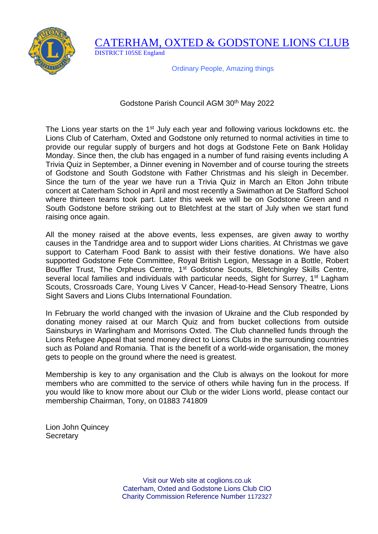

CATERHAM, OXTED & GODSTONE LIONS CLUB DISTRICT 105SE England

Ordinary People, Amazing things

## Godstone Parish Council AGM 30<sup>th</sup> May 2022

The Lions year starts on the 1<sup>st</sup> July each year and following various lockdowns etc. the Lions Club of Caterham, Oxted and Godstone only returned to normal activities in time to provide our regular supply of burgers and hot dogs at Godstone Fete on Bank Holiday Monday. Since then, the club has engaged in a number of fund raising events including A Trivia Quiz in September, a Dinner evening in November and of course touring the streets of Godstone and South Godstone with Father Christmas and his sleigh in December. Since the turn of the year we have run a Trivia Quiz in March an Elton John tribute concert at Caterham School in April and most recently a Swimathon at De Stafford School where thirteen teams took part. Later this week we will be on Godstone Green and n South Godstone before striking out to Bletchfest at the start of July when we start fund raising once again.

All the money raised at the above events, less expenses, are given away to worthy causes in the Tandridge area and to support wider Lions charities. At Christmas we gave support to Caterham Food Bank to assist with their festive donations. We have also supported Godstone Fete Committee, Royal British Legion, Message in a Bottle, Robert Bouffler Trust, The Orpheus Centre, 1<sup>st</sup> Godstone Scouts, Bletchingley Skills Centre, several local families and individuals with particular needs, Sight for Surrey, 1<sup>st</sup> Lagham Scouts, Crossroads Care, Young Lives V Cancer, Head-to-Head Sensory Theatre, Lions Sight Savers and Lions Clubs International Foundation.

In February the world changed with the invasion of Ukraine and the Club responded by donating money raised at our March Quiz and from bucket collections from outside Sainsburys in Warlingham and Morrisons Oxted. The Club channelled funds through the Lions Refugee Appeal that send money direct to Lions Clubs in the surrounding countries such as Poland and Romania. That is the benefit of a world-wide organisation, the money gets to people on the ground where the need is greatest.

Membership is key to any organisation and the Club is always on the lookout for more members who are committed to the service of others while having fun in the process. If you would like to know more about our Club or the wider Lions world, please contact our membership Chairman, Tony, on 01883 741809

Lion John Quincey **Secretary** 

> Visit our Web site at coglions.co.uk Caterham, Oxted and Godstone Lions Club CIO Charity Commission Reference Number 1172327